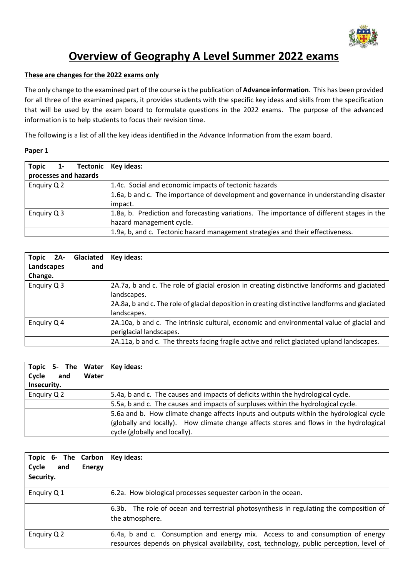

# **Overview of Geography A Level Summer 2022 exams**

## **These are changes for the 2022 exams only**

The only change to the examined part of the course is the publication of **Advance information**. This has been provided for all three of the examined papers, it provides students with the specific key ideas and skills from the specification that will be used by the exam board to formulate questions in the 2022 exams. The purpose of the advanced information is to help students to focus their revision time.

The following is a list of all the key ideas identified in the Advance Information from the exam board.

#### **Paper 1**

| Topic 1- Tectonic   Key ideas: |                                                                                           |  |
|--------------------------------|-------------------------------------------------------------------------------------------|--|
| processes and hazards          |                                                                                           |  |
| Enquiry Q 2                    | 1.4c. Social and economic impacts of tectonic hazards                                     |  |
|                                | 1.6a, b and c. The importance of development and governance in understanding disaster     |  |
|                                | impact.                                                                                   |  |
| Enquiry Q 3                    | 1.8a, b. Prediction and forecasting variations. The importance of different stages in the |  |
|                                | hazard management cycle.                                                                  |  |
|                                | 1.9a, b, and c. Tectonic hazard management strategies and their effectiveness.            |  |

| Topic 2A-   | Glaciated | Key ideas:                                                                                     |
|-------------|-----------|------------------------------------------------------------------------------------------------|
| Landscapes  | and       |                                                                                                |
| Change.     |           |                                                                                                |
| Enquiry Q 3 |           | 2A.7a, b and c. The role of glacial erosion in creating distinctive landforms and glaciated    |
|             |           | landscapes.                                                                                    |
|             |           | 2A.8a, b and c. The role of glacial deposition in creating distinctive landforms and glaciated |
|             |           | landscapes.                                                                                    |
| Enquiry Q 4 |           | 2A.10a, b and c. The intrinsic cultural, economic and environmental value of glacial and       |
|             |           | periglacial landscapes.                                                                        |
|             |           | 2A.11a, b and c. The threats facing fragile active and relict glaciated upland landscapes.     |

| Topic 5- The Water   Key ideas:                                                                 |                                                                                   |  |
|-------------------------------------------------------------------------------------------------|-----------------------------------------------------------------------------------|--|
| Cycle<br>and<br>Water                                                                           |                                                                                   |  |
| Insecurity.                                                                                     |                                                                                   |  |
| Enguiry Q 2<br>5.4a, b and c. The causes and impacts of deficits within the hydrological cycle. |                                                                                   |  |
|                                                                                                 | 5.5a, b and c. The causes and impacts of surpluses within the hydrological cycle. |  |
| 5.6a and b. How climate change affects inputs and outputs within the hydrological cycle         |                                                                                   |  |
| (globally and locally). How climate change affects stores and flows in the hydrological         |                                                                                   |  |
|                                                                                                 | cycle (globally and locally).                                                     |  |

| Topic 6- The Carbon           | Key ideas:                                                                                                                                                                  |  |
|-------------------------------|-----------------------------------------------------------------------------------------------------------------------------------------------------------------------------|--|
| and<br>Cycle<br><b>Energy</b> |                                                                                                                                                                             |  |
| Security.                     |                                                                                                                                                                             |  |
| Enquiry Q 1                   | 6.2a. How biological processes sequester carbon in the ocean.                                                                                                               |  |
|                               | 6.3b. The role of ocean and terrestrial photosynthesis in regulating the composition of<br>the atmosphere.                                                                  |  |
| Enquiry Q 2                   | 6.4a, b and c. Consumption and energy mix. Access to and consumption of energy<br>resources depends on physical availability, cost, technology, public perception, level of |  |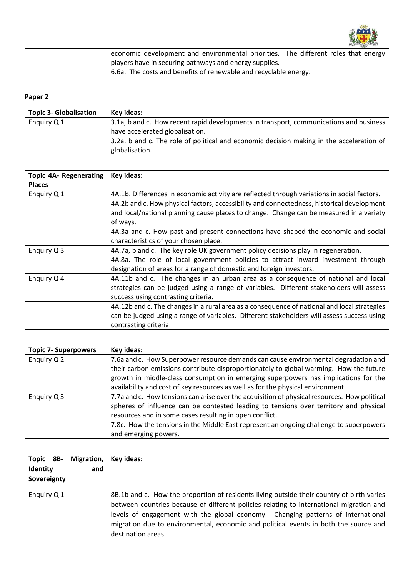

| economic development and environmental priorities. The different roles that energy |  |
|------------------------------------------------------------------------------------|--|
| players have in securing pathways and energy supplies.                             |  |
| 6.6a. The costs and benefits of renewable and recyclable energy.                   |  |

# **Paper 2**

| <b>Topic 3- Globalisation</b> | Key ideas:                                                                               |  |
|-------------------------------|------------------------------------------------------------------------------------------|--|
| Enquiry Q 1                   | 3.1a, b and c. How recent rapid developments in transport, communications and business   |  |
|                               | have accelerated globalisation.                                                          |  |
|                               | 3.2a, b and c. The role of political and economic decision making in the acceleration of |  |
|                               | globalisation.                                                                           |  |

| <b>Topic 4A- Regenerating</b> | Key ideas:                                                                                  |  |
|-------------------------------|---------------------------------------------------------------------------------------------|--|
| <b>Places</b>                 |                                                                                             |  |
| Enquiry Q 1                   | 4A.1b. Differences in economic activity are reflected through variations in social factors. |  |
|                               | 4A.2b and c. How physical factors, accessibility and connectedness, historical development  |  |
|                               | and local/national planning cause places to change. Change can be measured in a variety     |  |
|                               | of ways.                                                                                    |  |
|                               | 4A.3a and c. How past and present connections have shaped the economic and social           |  |
|                               | characteristics of your chosen place.                                                       |  |
| Enquiry Q 3                   | 4A.7a, b and c. The key role UK government policy decisions play in regeneration.           |  |
|                               | 4A.8a. The role of local government policies to attract inward investment through           |  |
|                               | designation of areas for a range of domestic and foreign investors.                         |  |
| Enquiry Q 4                   | 4A.11b and c. The changes in an urban area as a consequence of national and local           |  |
|                               | strategies can be judged using a range of variables. Different stakeholders will assess     |  |
|                               | success using contrasting criteria.                                                         |  |
|                               | 4A.12b and c. The changes in a rural area as a consequence of national and local strategies |  |
|                               | can be judged using a range of variables. Different stakeholders will assess success using  |  |
|                               | contrasting criteria.                                                                       |  |

| <b>Topic 7- Superpowers</b> | Key ideas:                                                                                   |  |
|-----------------------------|----------------------------------------------------------------------------------------------|--|
| Enquiry Q 2                 | 7.6a and c. How Superpower resource demands can cause environmental degradation and          |  |
|                             | their carbon emissions contribute disproportionately to global warming. How the future       |  |
|                             | growth in middle-class consumption in emerging superpowers has implications for the          |  |
|                             | availability and cost of key resources as well as for the physical environment.              |  |
| Enquiry Q 3                 | 7.7a and c. How tensions can arise over the acquisition of physical resources. How political |  |
|                             | spheres of influence can be contested leading to tensions over territory and physical        |  |
|                             | resources and in some cases resulting in open conflict.                                      |  |
|                             | 7.8c. How the tensions in the Middle East represent an ongoing challenge to superpowers      |  |
|                             | and emerging powers.                                                                         |  |

| Topic 8B-<br>Identity<br>Sovereignty | Migration,   Key ideas:<br>and |                                                                                                                                                                                                                                                                                                                                                                                        |  |
|--------------------------------------|--------------------------------|----------------------------------------------------------------------------------------------------------------------------------------------------------------------------------------------------------------------------------------------------------------------------------------------------------------------------------------------------------------------------------------|--|
| Enquiry Q 1                          |                                | 8B.1b and c. How the proportion of residents living outside their country of birth varies<br>between countries because of different policies relating to international migration and<br>levels of engagement with the global economy. Changing patterns of international<br>migration due to environmental, economic and political events in both the source and<br>destination areas. |  |